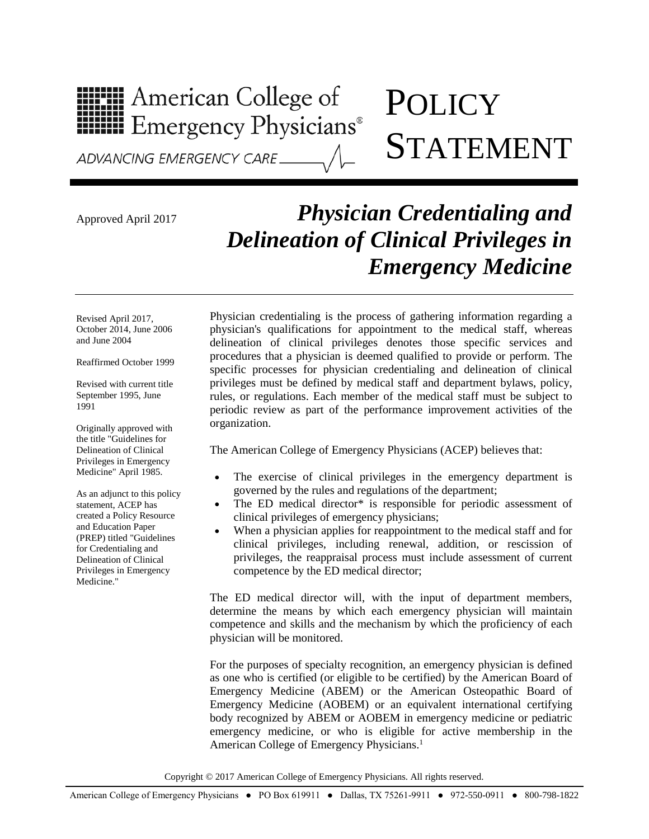## **HIPH American College of<br>HIPH Emergency Physicians®**

## **POLICY** STATEMENT

ADVANCING EMERGENCY CARE

## Approved April 2017 *Physician Credentialing and Delineation of Clinical Privileges in Emergency Medicine*

Revised April 2017, October 2014, June 2006 and June 2004

Reaffirmed October 1999

Revised with current title September 1995, June 1991

Originally approved with the title "Guidelines for Delineation of Clinical Privileges in Emergency Medicine" April 1985.

As an adjunct to this policy statement, ACEP has created a Policy Resource and Education Paper (PREP) titled "Guidelines for Credentialing and Delineation of Clinical Privileges in Emergency Medicine."

Physician credentialing is the process of gathering information regarding a physician's qualifications for appointment to the medical staff, whereas delineation of clinical privileges denotes those specific services and procedures that a physician is deemed qualified to provide or perform. The specific processes for physician credentialing and delineation of clinical privileges must be defined by medical staff and department bylaws, policy, rules, or regulations. Each member of the medical staff must be subject to periodic review as part of the performance improvement activities of the organization.

The American College of Emergency Physicians (ACEP) believes that:

- The exercise of clinical privileges in the emergency department is governed by the rules and regulations of the department;
- The ED medical director\* is responsible for periodic assessment of clinical privileges of emergency physicians;
- When a physician applies for reappointment to the medical staff and for clinical privileges, including renewal, addition, or rescission of privileges, the reappraisal process must include assessment of current competence by the ED medical director;

The ED medical director will, with the input of department members, determine the means by which each emergency physician will maintain competence and skills and the mechanism by which the proficiency of each physician will be monitored.

For the purposes of specialty recognition, an emergency physician is defined as one who is certified (or eligible to be certified) by the American Board of Emergency Medicine (ABEM) or the American Osteopathic Board of Emergency Medicine (AOBEM) or an equivalent international certifying body recognized by ABEM or AOBEM in emergency medicine or pediatric emergency medicine, or who is eligible for active membership in the American College of Emergency Physicians.<sup>1</sup>

Copyright © 2017 American College of Emergency Physicians. All rights reserved.